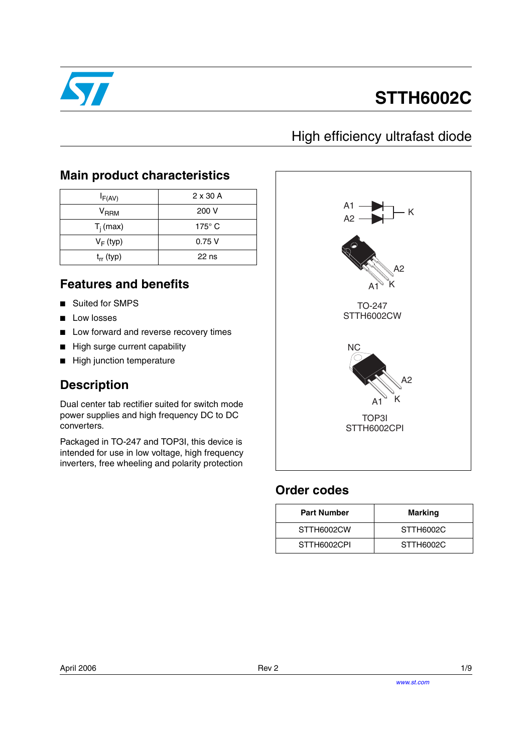

# **STTH6002C**

## High efficiency ultrafast diode

### **Main product characteristics**

| $I_{F(AV)}$               | $2 \times 30$ A |
|---------------------------|-----------------|
| $\mathsf{V}_\mathsf{RRM}$ | 200 V           |
| $T_i$ (max)               | $175^\circ$ C   |
| $V_F$ (typ)               | 0.75V           |
| $t_{rr}$ (typ)            | $22$ ns         |

### **Features and benefits**

- Suited for SMPS
- Low losses
- Low forward and reverse recovery times
- High surge current capability
- High junction temperature

### **Description**

Dual center tab rectifier suited for switch mode power supplies and high frequency DC to DC converters.

Packaged in TO-247 and TOP3I, this device is intended for use in low voltage, high frequency inverters, free wheeling and polarity protection



### **Order codes**

| <b>Part Number</b> | Marking   |
|--------------------|-----------|
| STTH6002CW         | STTH6002C |
| STTH6002CPI        | STTH6002C |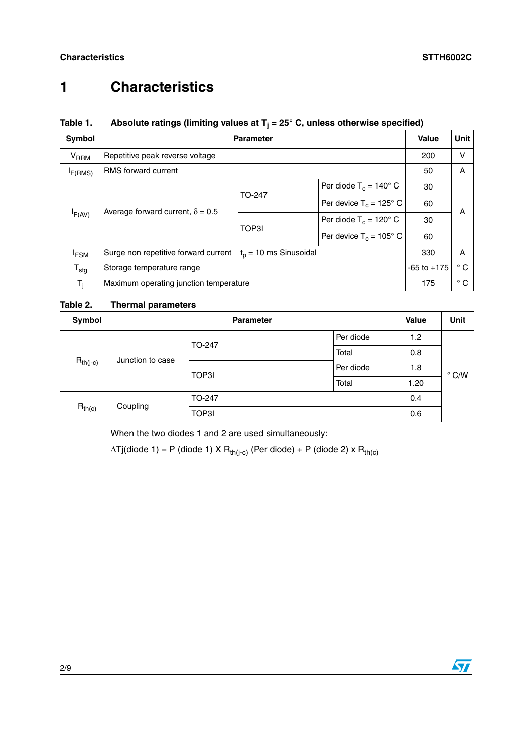## **1 Characteristics**

### **Table 1. Absolute ratings (limiting values at Tj = 25° C, unless otherwise specified)**

| Symbol                      | <b>Parameter</b>                                       | Value                    | Unit                           |    |   |
|-----------------------------|--------------------------------------------------------|--------------------------|--------------------------------|----|---|
| $\mathsf{V}_{\mathsf{RRM}}$ | Repetitive peak reverse voltage                        | 200                      | $\vee$                         |    |   |
| I <sub>F(RMS)</sub>         | <b>RMS</b> forward current                             |                          |                                | 50 | A |
|                             | Average forward current, $\delta = 0.5$<br>$I_{F(AV)}$ | TO-247                   | Per diode $T_c = 140^\circ$ C  | 30 |   |
|                             |                                                        |                          | Per device $T_c = 125^\circ$ C | 60 | A |
|                             |                                                        |                          | Per diode $T_c = 120^\circ$ C  | 30 |   |
|                             |                                                        | TOP3I                    | Per device $T_c = 105^\circ$ C | 60 |   |
| <sup>I</sup> FSM            | Surge non repetitive forward current                   | $t_0$ = 10 ms Sinusoidal | 330                            | A  |   |
| $T_{\text{stg}}$            | Storage temperature range                              | $-65$ to $+175$          | $^{\circ}$ C                   |    |   |
| $\mathsf{T}_\mathsf{i}$     | Maximum operating junction temperature                 | 175                      | $^{\circ}$ C                   |    |   |

#### **Table 2. Thermal parameters**

| Symbol                            |          | <b>Value</b> | <b>Unit</b> |     |               |
|-----------------------------------|----------|--------------|-------------|-----|---------------|
| $R_{th(j-c)}$<br>Junction to case |          | TO-247       | Per diode   | 1.2 |               |
|                                   |          | Total        | 0.8         |     |               |
|                                   |          | TOP3I        | Per diode   | 1.8 | $\degree$ C/W |
|                                   |          | Total        | 1.20        |     |               |
|                                   |          | TO-247       |             | 0.4 |               |
| $R_{th(c)}$                       | Coupling | TOP3I        |             | 0.6 |               |

When the two diodes 1 and 2 are used simultaneously:

 $\Delta T$ j(diode 1) = P (diode 1) X R<sub>th(j-c)</sub> (Per diode) + P (diode 2) x R<sub>th(c)</sub>

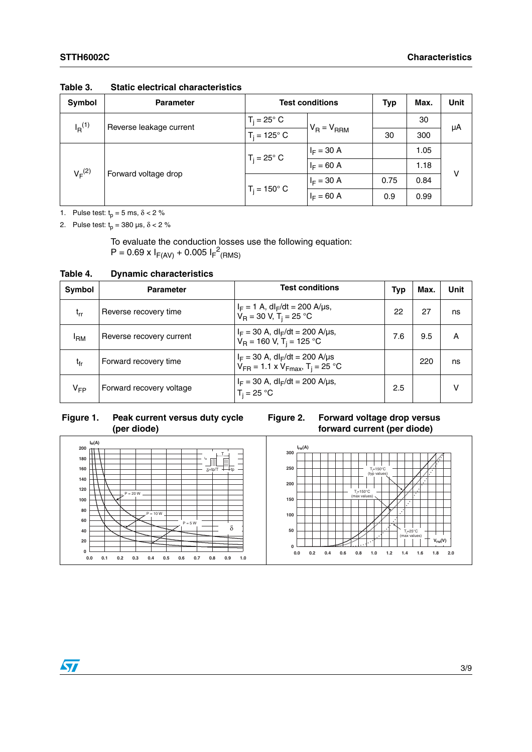| Symbol                                          | <b>Parameter</b>    | <b>Test conditions</b> | <b>Typ</b>      | Max. | <b>Unit</b> |    |
|-------------------------------------------------|---------------------|------------------------|-----------------|------|-------------|----|
| $I_R$ <sup>(1)</sup><br>Reverse leakage current |                     | $T_i = 25^\circ$ C     | $V_R = V_{RRM}$ |      | 30          | μA |
|                                                 | $T_i = 125^\circ$ C |                        | 30              | 300  |             |    |
| $V_F^{(2)}$<br>Forward voltage drop             | $T_i = 25^\circ$ C  | $I_F = 30 A$           |                 | 1.05 |             |    |
|                                                 |                     | $I_F = 60 A$           |                 | 1.18 | v           |    |
|                                                 |                     | $T_i = 150^{\circ}$ C  | $I_F = 30 A$    | 0.75 | 0.84        |    |
|                                                 |                     |                        | $I_F = 60 A$    | 0.9  | 0.99        |    |

**Table 3. Static electrical characteristics**

1. Pulse test:  $t_p = 5$  ms,  $\delta < 2$  %

2. Pulse test:  $t_p = 380 \text{ }\mu\text{s}, \delta < 2 \%$ 

To evaluate the conduction losses use the following equation:  $P = 0.69 \times I_{F(AV)} + 0.005 I_{F}^{2}$ (RMS)

**Table 4. Dynamic characteristics**

| Symbol          | <b>Parameter</b>         | <b>Test conditions</b>                                                                               | Typ | Max. | Unit |
|-----------------|--------------------------|------------------------------------------------------------------------------------------------------|-----|------|------|
| $t_{rr}$        | Reverse recovery time    | $I_F = 1$ A, dl <sub>F</sub> /dt = 200 A/µs,<br>$V_R = 30 V$ , T <sub>i</sub> = 25 °C                | 22  | 27   | ns   |
| <sup>I</sup> RM | Reverse recovery current | $I_F = 30$ A, dl <sub>F</sub> /dt = 200 A/us,<br>$V_R = 160$ V, T <sub>i</sub> = 125 °C              | 7.6 | 9.5  | А    |
| $t_{fr}$        | Forward recovery time    | $I_F = 30$ A, dl <sub>F</sub> /dt = 200 A/µs<br>$V_{FR}$ = 1.1 x $V_{Fmax}$ , T <sub>i</sub> = 25 °C |     | 220  | ns   |
| $V_{FP}$        | Forward recovery voltage | $I_F = 30$ A, dl <sub>F</sub> /dt = 200 A/µs,<br>$T_i = 25 °C$                                       | 2.5 |      |      |

### **Figure 1. Peak current versus duty cycle (per diode)**

**Figure 2. Forward voltage drop versus forward current (per diode)**





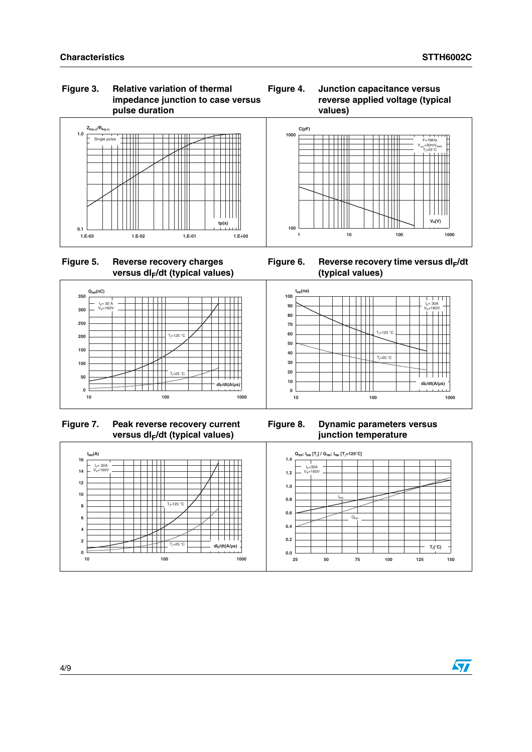#### **Figure 3. Relative variation of thermal impedance junction to case versus pulse duration**





**Figure 5. Reverse recovery charges**  versus dl<sub>F</sub>/dt (typical values)

Figure 6. Reverse recovery time versus dl<sub>F</sub>/dt **(typical values)**



 **Figure 7. Peak reverse recovery current**  versus dl<sub>F</sub>/dt (typical values)

**Figure 8. Dynamic parameters versus junction temperature**



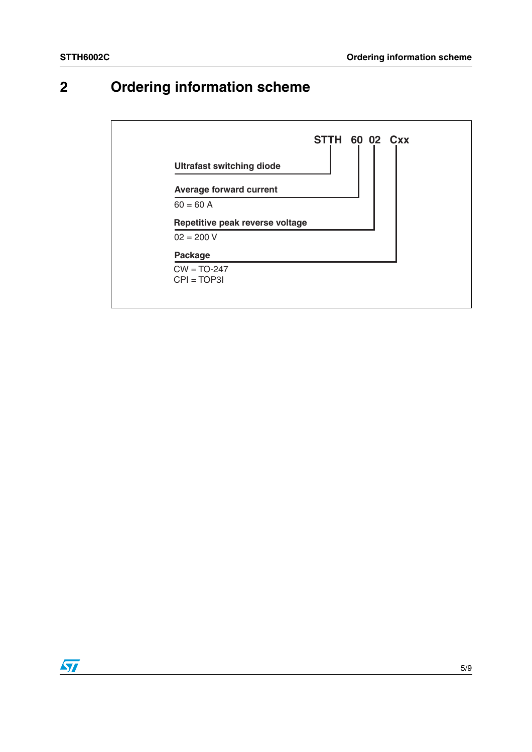## **2 Ordering information scheme**



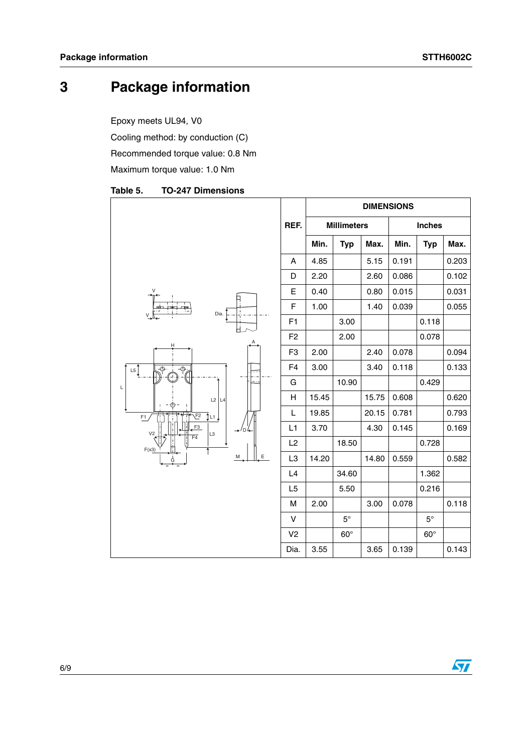## **3 Package information**

Epoxy meets UL94, V0

Cooling method: by conduction (C)

Recommended torque value: 0.8 Nm

Maximum torque value: 1.0 Nm

|                                                           |                         |       |                    | <b>DIMENSIONS</b> |       |               |       |
|-----------------------------------------------------------|-------------------------|-------|--------------------|-------------------|-------|---------------|-------|
|                                                           | REF.                    |       | <b>Millimeters</b> |                   |       | <b>Inches</b> |       |
|                                                           |                         | Min.  | <b>Typ</b>         | Max.              | Min.  | <b>Typ</b>    | Max.  |
|                                                           | Α                       | 4.85  |                    | 5.15              | 0.191 |               | 0.203 |
|                                                           | D                       | 2.20  |                    | 2.60              | 0.086 |               | 0.102 |
|                                                           | E                       | 0.40  |                    | 0.80              | 0.015 |               | 0.031 |
| Dia.<br>V                                                 | $\mathsf{F}$            | 1.00  |                    | 1.40              | 0.039 |               | 0.055 |
|                                                           | F1                      |       | 3.00               |                   |       | 0.118         |       |
| Н                                                         | F <sub>2</sub>          |       | 2.00               |                   |       | 0.078         |       |
|                                                           | F <sub>3</sub>          | 2.00  |                    | 2.40              | 0.078 |               | 0.094 |
| L5<br>$\overline{\bigoplus_{i}}$<br>⊕                     | F4                      | 3.00  |                    | 3.40              | 0.118 |               | 0.133 |
| L                                                         | G                       |       | 10.90              |                   |       | 0.429         |       |
| $L2$ $L4$                                                 | $\overline{\mathsf{H}}$ | 15.45 |                    | 15.75             | 0.608 |               | 0.620 |
| tu↓<br>E <sup>2</sup><br>F <sub>1</sub>                   | L                       | 19.85 |                    | 20.15             | 0.781 |               | 0.793 |
| F <sub>3</sub><br>V <sub>2</sub><br>L3<br>$\overline{F4}$ | L1                      | 3.70  |                    | 4.30              | 0.145 |               | 0.169 |
| F(x3)                                                     | L2                      |       | 18.50              |                   |       | 0.728         |       |
| Ε<br>M                                                    | L <sub>3</sub>          | 14.20 |                    | 14.80             | 0.559 |               | 0.582 |
|                                                           | L4                      |       | 34.60              |                   |       | 1.362         |       |
|                                                           | L5                      |       | 5.50               |                   |       | 0.216         |       |
|                                                           | M                       | 2.00  |                    | 3.00              | 0.078 |               | 0.118 |
|                                                           | $\mathsf V$             |       | $5^\circ$          |                   |       | $5^{\circ}$   |       |
|                                                           | V <sub>2</sub>          |       | $60^\circ$         |                   |       | $60^\circ$    |       |
|                                                           | Dia.                    | 3.55  |                    | 3.65              | 0.139 |               | 0.143 |

#### Table 5. **TO-247 Dimensions**

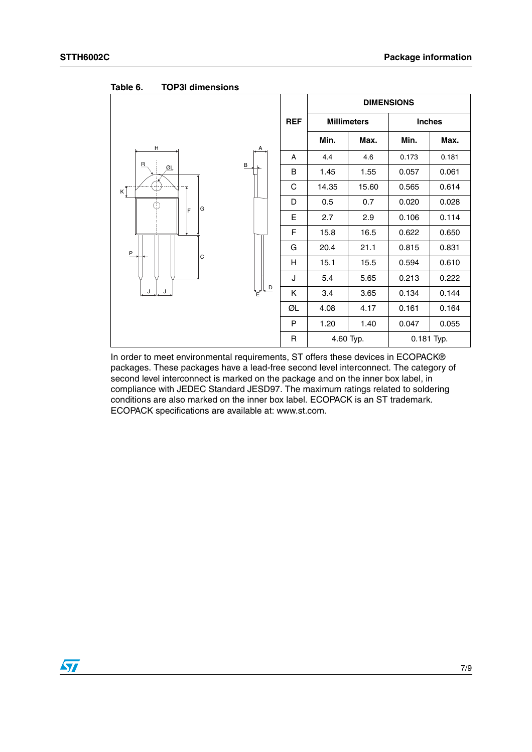|                                                           |            | <b>DIMENSIONS</b> |                    |            |               |  |
|-----------------------------------------------------------|------------|-------------------|--------------------|------------|---------------|--|
|                                                           | <b>REF</b> |                   | <b>Millimeters</b> |            | <b>Inches</b> |  |
| н<br>А                                                    |            | Min.              | Max.               | Min.       | Max.          |  |
|                                                           | A          | 4.4               | 4.6                | 0.173      | 0.181         |  |
| $\mathbf{B}$<br>$\, {\bf B}$<br>$\underline{\mathsf{GL}}$ | B          | 1.45              | 1.55               | 0.057      | 0.061         |  |
| $\kappa$ $\tilde{I}$                                      | C          | 14.35             | 15.60              | 0.565      | 0.614         |  |
| G                                                         | D          | 0.5               | 0.7                | 0.020      | 0.028         |  |
| F                                                         | E          | 2.7               | 2.9                | 0.106      | 0.114         |  |
|                                                           | F          | 15.8              | 16.5               | 0.622      | 0.650         |  |
| P                                                         | G          | 20.4              | 21.1               | 0.815      | 0.831         |  |
| $\mathbf C$                                               | H          | 15.1              | 15.5               | 0.594      | 0.610         |  |
|                                                           | J          | 5.4               | 5.65               | 0.213      | 0.222         |  |
| $\overline{\phantom{a}}$<br>J<br>J<br>F                   | Κ          | 3.4               | 3.65               | 0.134      | 0.144         |  |
|                                                           | ØL         | 4.08              | 4.17               | 0.161      | 0.164         |  |
|                                                           | P          | 1.20              | 1.40               | 0.047      | 0.055         |  |
|                                                           | R          |                   | 4.60 Typ.          | 0.181 Typ. |               |  |

Table 6. **TOP3I dimensions** 

In order to meet environmental requirements, ST offers these devices in ECOPACK® packages. These packages have a lead-free second level interconnect. The category of second level interconnect is marked on the package and on the inner box label, in compliance with JEDEC Standard JESD97. The maximum ratings related to soldering conditions are also marked on the inner box label. ECOPACK is an ST trademark. ECOPACK specifications are available at: www.st.com.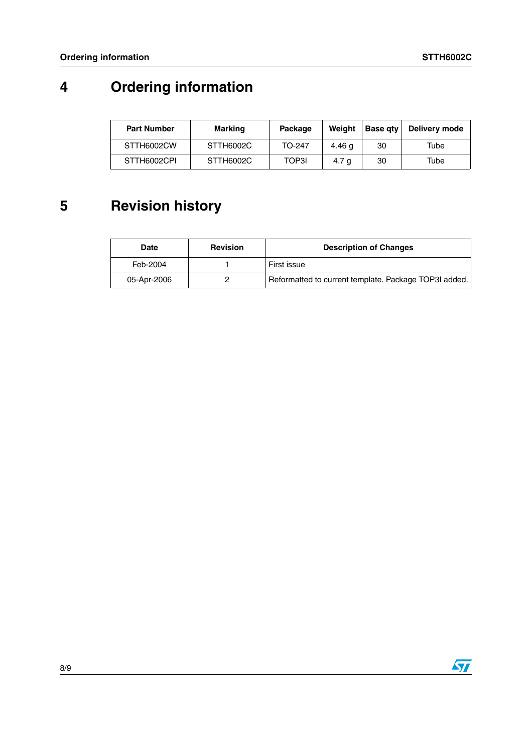## **4 Ordering information**

| <b>Part Number</b> | Marking   | Package | Weight           | <b>Base atv</b> | Delivery mode |
|--------------------|-----------|---------|------------------|-----------------|---------------|
| STTH6002CW         | STTH6002C | TO-247  | 4.46 a           | 30              | Tube          |
| STTH6002CPI        | STTH6002C | TOP3I   | 4.7 <sub>q</sub> | -30             | Tube          |

## **5 Revision history**

| Date        | <b>Revision</b> | <b>Description of Changes</b>                         |
|-------------|-----------------|-------------------------------------------------------|
| Feb-2004    |                 | First issue                                           |
| 05-Apr-2006 |                 | Reformatted to current template. Package TOP3I added. |